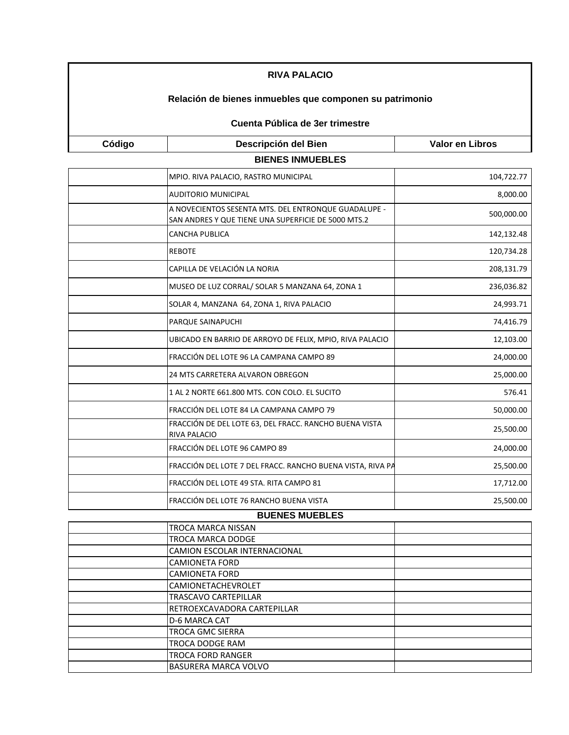| <b>RIVA PALACIO</b><br>Relación de bienes inmuebles que componen su patrimonio |                                                                                                             |                        |
|--------------------------------------------------------------------------------|-------------------------------------------------------------------------------------------------------------|------------------------|
|                                                                                |                                                                                                             |                        |
| Código                                                                         | Descripción del Bien                                                                                        | <b>Valor en Libros</b> |
|                                                                                | <b>BIENES INMUEBLES</b>                                                                                     |                        |
|                                                                                | MPIO. RIVA PALACIO, RASTRO MUNICIPAL                                                                        | 104,722.77             |
|                                                                                | <b>AUDITORIO MUNICIPAL</b>                                                                                  | 8,000.00               |
|                                                                                | A NOVECIENTOS SESENTA MTS. DEL ENTRONQUE GUADALUPE -<br>SAN ANDRES Y QUE TIENE UNA SUPERFICIE DE 5000 MTS.2 | 500,000.00             |
|                                                                                | <b>CANCHA PUBLICA</b>                                                                                       | 142,132.48             |
|                                                                                | <b>REBOTE</b>                                                                                               | 120,734.28             |
|                                                                                | CAPILLA DE VELACIÓN LA NORIA                                                                                | 208,131.79             |
|                                                                                | MUSEO DE LUZ CORRAL/ SOLAR 5 MANZANA 64, ZONA 1                                                             | 236,036.82             |
|                                                                                | SOLAR 4, MANZANA 64, ZONA 1, RIVA PALACIO                                                                   | 24,993.71              |
|                                                                                | PARQUE SAINAPUCHI                                                                                           | 74,416.79              |
|                                                                                | UBICADO EN BARRIO DE ARROYO DE FELIX, MPIO, RIVA PALACIO                                                    | 12,103.00              |
|                                                                                | FRACCIÓN DEL LOTE 96 LA CAMPANA CAMPO 89                                                                    | 24,000.00              |
|                                                                                | 24 MTS CARRETERA ALVARON OBREGON                                                                            | 25,000.00              |
|                                                                                | 1 AL 2 NORTE 661.800 MTS. CON COLO. EL SUCITO                                                               | 576.41                 |
|                                                                                | FRACCIÓN DEL LOTE 84 LA CAMPANA CAMPO 79                                                                    | 50,000.00              |
|                                                                                | FRACCIÓN DE DEL LOTE 63, DEL FRACC. RANCHO BUENA VISTA<br><b>RIVA PALACIO</b>                               | 25,500.00              |
|                                                                                | FRACCIÓN DEL LOTE 96 CAMPO 89                                                                               | 24,000.00              |
|                                                                                | FRACCIÓN DEL LOTE 7 DEL FRACC. RANCHO BUENA VISTA, RIVA PA                                                  | 25,500.00              |
|                                                                                | FRACCIÓN DEL LOTE 49 STA. RITA CAMPO 81                                                                     | 17,712.00              |

## FRACCIÓN DEL LOTE 76 RANCHO BUENA VISTA 25,500.00 **BUENES MUEBLES**

| <b>DULINLU MULDLLU</b> |                                     |  |
|------------------------|-------------------------------------|--|
|                        | TROCA MARCA NISSAN                  |  |
|                        | TROCA MARCA DODGE                   |  |
|                        | CAMION ESCOLAR INTERNACIONAL        |  |
|                        | <b>CAMIONETA FORD</b>               |  |
|                        | <b>CAMIONETA FORD</b>               |  |
|                        | <b>CAMIONETACHEVROLET</b>           |  |
|                        | <b>TRASCAVO CARTEPILLAR</b>         |  |
|                        | <b>IRETROEXCAVADORA CARTEPILLAR</b> |  |
|                        | D-6 MARCA CAT                       |  |
|                        | <b>TROCA GMC SIERRA</b>             |  |
|                        | TROCA DODGE RAM                     |  |
|                        | <b>TROCA FORD RANGER</b>            |  |
|                        | <b>BASURERA MARCA VOLVO</b>         |  |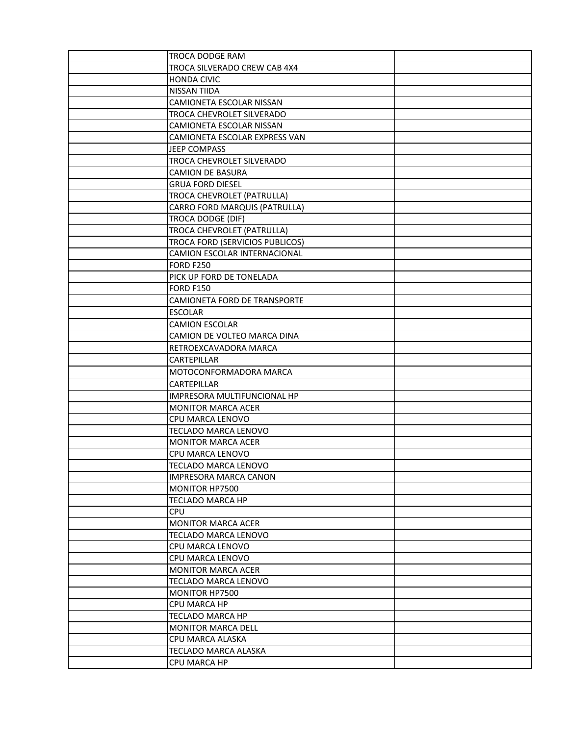| TROCA DODGE RAM                     |  |
|-------------------------------------|--|
| TROCA SILVERADO CREW CAB 4X4        |  |
| <b>HONDA CIVIC</b>                  |  |
| NISSAN TIIDA                        |  |
| <b>CAMIONETA ESCOLAR NISSAN</b>     |  |
| TROCA CHEVROLET SILVERADO           |  |
| CAMIONETA ESCOLAR NISSAN            |  |
| CAMIONETA ESCOLAR EXPRESS VAN       |  |
| JEEP COMPASS                        |  |
| TROCA CHEVROLET SILVERADO           |  |
| <b>CAMION DE BASURA</b>             |  |
| <b>GRUA FORD DIESEL</b>             |  |
| TROCA CHEVROLET (PATRULLA)          |  |
| CARRO FORD MARQUIS (PATRULLA)       |  |
| TROCA DODGE (DIF)                   |  |
| TROCA CHEVROLET (PATRULLA)          |  |
| TROCA FORD (SERVICIOS PUBLICOS)     |  |
| CAMION ESCOLAR INTERNACIONAL        |  |
| <b>FORD F250</b>                    |  |
| PICK UP FORD DE TONELADA            |  |
| <b>FORD F150</b>                    |  |
| <b>CAMIONETA FORD DE TRANSPORTE</b> |  |
| <b>ESCOLAR</b>                      |  |
| <b>CAMION ESCOLAR</b>               |  |
| CAMION DE VOLTEO MARCA DINA         |  |
| RETROEXCAVADORA MARCA               |  |
| CARTEPILLAR                         |  |
| MOTOCONFORMADORA MARCA              |  |
| CARTEPILLAR                         |  |
| IMPRESORA MULTIFUNCIONAL HP         |  |
| <b>MONITOR MARCA ACER</b>           |  |
| CPU MARCA LENOVO                    |  |
| TECLADO MARCA LENOVO                |  |
| <b>MONITOR MARCA ACER</b>           |  |
| CPU MARCA LENOVO                    |  |
| TECLADO MARCA LENOVO                |  |
| <b>IMPRESORA MARCA CANON</b>        |  |
| MONITOR HP7500                      |  |
| <b>TECLADO MARCA HP</b>             |  |
| <b>CPU</b>                          |  |
| <b>MONITOR MARCA ACER</b>           |  |
| TECLADO MARCA LENOVO                |  |
| CPU MARCA LENOVO                    |  |
| CPU MARCA LENOVO                    |  |
| <b>MONITOR MARCA ACER</b>           |  |
| TECLADO MARCA LENOVO                |  |
| MONITOR HP7500                      |  |
| CPU MARCA HP                        |  |
| <b>TECLADO MARCA HP</b>             |  |
| <b>MONITOR MARCA DELL</b>           |  |
| CPU MARCA ALASKA                    |  |
| TECLADO MARCA ALASKA                |  |
| CPU MARCA HP                        |  |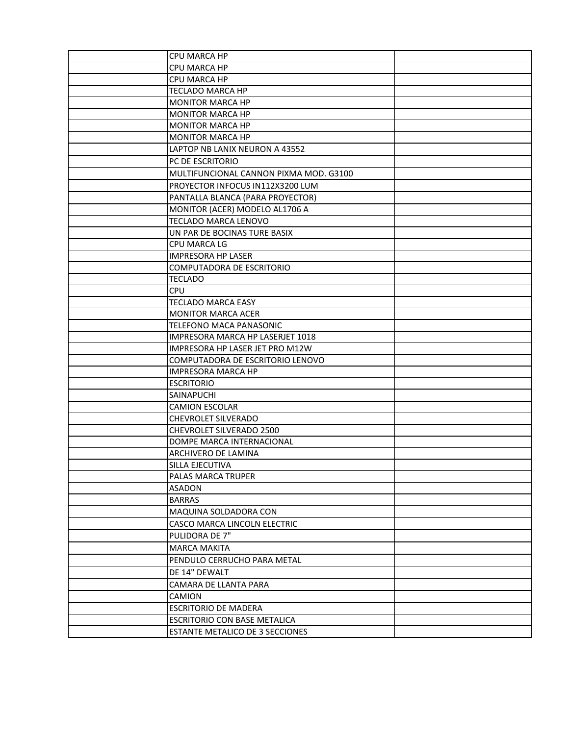| CPU MARCA HP                           |  |
|----------------------------------------|--|
| CPU MARCA HP                           |  |
| CPU MARCA HP                           |  |
| TECLADO MARCA HP                       |  |
| <b>MONITOR MARCA HP</b>                |  |
| <b>MONITOR MARCA HP</b>                |  |
| <b>MONITOR MARCA HP</b>                |  |
| <b>MONITOR MARCA HP</b>                |  |
| LAPTOP NB LANIX NEURON A 43552         |  |
| PC DE ESCRITORIO                       |  |
| MULTIFUNCIONAL CANNON PIXMA MOD. G3100 |  |
| PROYECTOR INFOCUS IN112X3200 LUM       |  |
| PANTALLA BLANCA (PARA PROYECTOR)       |  |
| MONITOR (ACER) MODELO AL1706 A         |  |
| TECLADO MARCA LENOVO                   |  |
| UN PAR DE BOCINAS TURE BASIX           |  |
| CPU MARCA LG                           |  |
| IMPRESORA HP LASER                     |  |
| <b>COMPUTADORA DE ESCRITORIO</b>       |  |
| <b>TECLADO</b>                         |  |
| <b>CPU</b>                             |  |
| <b>TECLADO MARCA EASY</b>              |  |
| <b>MONITOR MARCA ACER</b>              |  |
| TELEFONO MACA PANASONIC                |  |
| IMPRESORA MARCA HP LASERJET 1018       |  |
| IMPRESORA HP LASER JET PRO M12W        |  |
| COMPUTADORA DE ESCRITORIO LENOVO       |  |
| <b>IMPRESORA MARCA HP</b>              |  |
| <b>ESCRITORIO</b>                      |  |
| SAINAPUCHI                             |  |
| <b>CAMION ESCOLAR</b>                  |  |
| <b>CHEVROLET SILVERADO</b>             |  |
| CHEVROLET SILVERADO 2500               |  |
| DOMPE MARCA INTERNACIONAL              |  |
| ARCHIVERO DE LAMINA                    |  |
| SILLA EJECUTIVA                        |  |
| <b>PALAS MARCA TRUPER</b>              |  |
| ASADON                                 |  |
| <b>BARRAS</b>                          |  |
| MAQUINA SOLDADORA CON                  |  |
| CASCO MARCA LINCOLN ELECTRIC           |  |
| PULIDORA DE 7"                         |  |
| <b>MARCA MAKITA</b>                    |  |
| PENDULO CERRUCHO PARA METAL            |  |
| DE 14" DEWALT                          |  |
| CAMARA DE LLANTA PARA                  |  |
| CAMION                                 |  |
| <b>ESCRITORIO DE MADERA</b>            |  |
| <b>ESCRITORIO CON BASE METALICA</b>    |  |
| ESTANTE METALICO DE 3 SECCIONES        |  |
|                                        |  |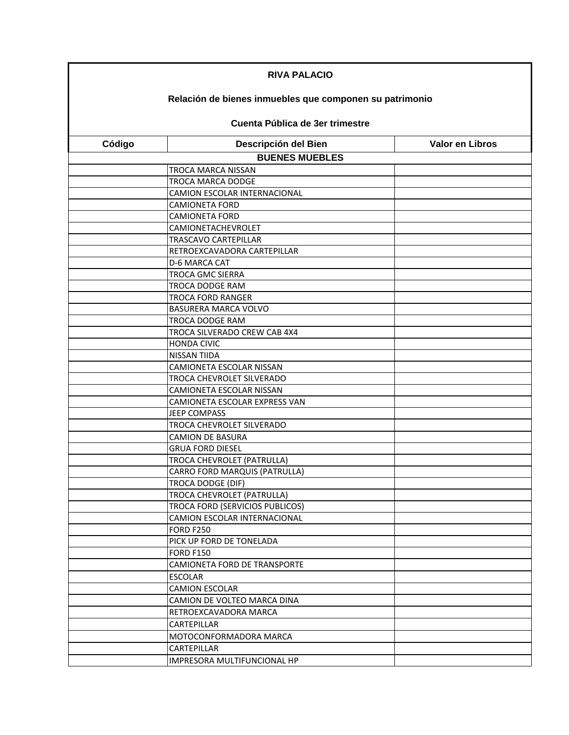| <b>RIVA PALACIO</b><br>Relación de bienes inmuebles que componen su patrimonio |                                      |                        |
|--------------------------------------------------------------------------------|--------------------------------------|------------------------|
|                                                                                |                                      |                        |
| Código                                                                         | Descripción del Bien                 | <b>Valor en Libros</b> |
|                                                                                | <b>BUENES MUEBLES</b>                |                        |
|                                                                                | TROCA MARCA NISSAN                   |                        |
|                                                                                | TROCA MARCA DODGE                    |                        |
|                                                                                | CAMION ESCOLAR INTERNACIONAL         |                        |
|                                                                                | <b>CAMIONETA FORD</b>                |                        |
|                                                                                | <b>CAMIONETA FORD</b>                |                        |
|                                                                                | CAMIONETACHEVROLET                   |                        |
|                                                                                | <b>TRASCAVO CARTEPILLAR</b>          |                        |
|                                                                                | RETROEXCAVADORA CARTEPILLAR          |                        |
|                                                                                | D-6 MARCA CAT                        |                        |
|                                                                                | TROCA GMC SIERRA                     |                        |
|                                                                                | TROCA DODGE RAM                      |                        |
|                                                                                | <b>TROCA FORD RANGER</b>             |                        |
|                                                                                | BASURERA MARCA VOLVO                 |                        |
|                                                                                | TROCA DODGE RAM                      |                        |
|                                                                                | TROCA SILVERADO CREW CAB 4X4         |                        |
|                                                                                | <b>HONDA CIVIC</b>                   |                        |
|                                                                                | NISSAN TIIDA                         |                        |
|                                                                                | CAMIONETA ESCOLAR NISSAN             |                        |
|                                                                                | TROCA CHEVROLET SILVERADO            |                        |
|                                                                                | CAMIONETA ESCOLAR NISSAN             |                        |
|                                                                                | CAMIONETA ESCOLAR EXPRESS VAN        |                        |
|                                                                                | <b>JEEP COMPASS</b>                  |                        |
|                                                                                | TROCA CHEVROLET SILVERADO            |                        |
|                                                                                | <b>CAMION DE BASURA</b>              |                        |
|                                                                                | <b>GRUA FORD DIESEL</b>              |                        |
|                                                                                | TROCA CHEVROLET (PATRULLA)           |                        |
|                                                                                | <b>CARRO FORD MARQUIS (PATRULLA)</b> |                        |
|                                                                                | TROCA DODGE (DIF)                    |                        |
|                                                                                | TROCA CHEVROLET (PATRULLA)           |                        |
|                                                                                | TROCA FORD (SERVICIOS PUBLICOS)      |                        |
|                                                                                | CAMION ESCOLAR INTERNACIONAL         |                        |
|                                                                                | <b>FORD F250</b>                     |                        |
|                                                                                | PICK UP FORD DE TONELADA             |                        |
|                                                                                | <b>FORD F150</b>                     |                        |
|                                                                                | CAMIONETA FORD DE TRANSPORTE         |                        |
|                                                                                | <b>ESCOLAR</b>                       |                        |
|                                                                                | <b>CAMION ESCOLAR</b>                |                        |
|                                                                                | CAMION DE VOLTEO MARCA DINA          |                        |
|                                                                                | RETROEXCAVADORA MARCA                |                        |
|                                                                                | CARTEPILLAR                          |                        |
|                                                                                | MOTOCONFORMADORA MARCA               |                        |
|                                                                                | CARTEPILLAR                          |                        |
|                                                                                | IMPRESORA MULTIFUNCIONAL HP          |                        |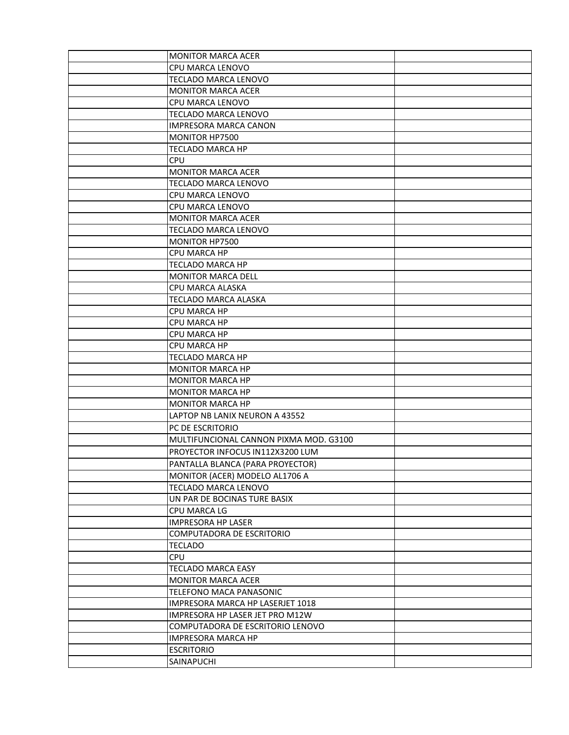| <b>MONITOR MARCA ACER</b>              |  |
|----------------------------------------|--|
| CPU MARCA LENOVO                       |  |
| TECLADO MARCA LENOVO                   |  |
| <b>MONITOR MARCA ACER</b>              |  |
| CPU MARCA LENOVO                       |  |
| TECLADO MARCA LENOVO                   |  |
| <b>IMPRESORA MARCA CANON</b>           |  |
| MONITOR HP7500                         |  |
| <b>TECLADO MARCA HP</b>                |  |
| <b>CPU</b>                             |  |
| <b>MONITOR MARCA ACER</b>              |  |
| TECLADO MARCA LENOVO                   |  |
| CPU MARCA LENOVO                       |  |
| CPU MARCA LENOVO                       |  |
| <b>MONITOR MARCA ACER</b>              |  |
| TECLADO MARCA LENOVO                   |  |
| MONITOR HP7500                         |  |
| <b>CPU MARCA HP</b>                    |  |
| <b>TECLADO MARCA HP</b>                |  |
| <b>MONITOR MARCA DELL</b>              |  |
| CPU MARCA ALASKA                       |  |
| TECLADO MARCA ALASKA                   |  |
| CPU MARCA HP                           |  |
| <b>CPU MARCA HP</b>                    |  |
| CPU MARCA HP                           |  |
| CPU MARCA HP                           |  |
| TECLADO MARCA HP                       |  |
| <b>MONITOR MARCA HP</b>                |  |
| <b>MONITOR MARCA HP</b>                |  |
| <b>MONITOR MARCA HP</b>                |  |
| <b>MONITOR MARCA HP</b>                |  |
| LAPTOP NB LANIX NEURON A 43552         |  |
| PC DE ESCRITORIO                       |  |
| MULTIFUNCIONAL CANNON PIXMA MOD. G3100 |  |
| PROYECTOR INFOCUS IN112X3200 LUM       |  |
| PANTALLA BLANCA (PARA PROYECTOR)       |  |
| MONITOR (ACER) MODELO AL1706 A         |  |
| TECLADO MARCA LENOVO                   |  |
| UN PAR DE BOCINAS TURE BASIX           |  |
| CPU MARCA LG                           |  |
| <b>IMPRESORA HP LASER</b>              |  |
| COMPUTADORA DE ESCRITORIO              |  |
| <b>TECLADO</b>                         |  |
| <b>CPU</b>                             |  |
| <b>TECLADO MARCA EASY</b>              |  |
| <b>MONITOR MARCA ACER</b>              |  |
| TELEFONO MACA PANASONIC                |  |
| IMPRESORA MARCA HP LASERJET 1018       |  |
| IMPRESORA HP LASER JET PRO M12W        |  |
| COMPUTADORA DE ESCRITORIO LENOVO       |  |
| IMPRESORA MARCA HP                     |  |
| <b>ESCRITORIO</b>                      |  |
| SAINAPUCHI                             |  |